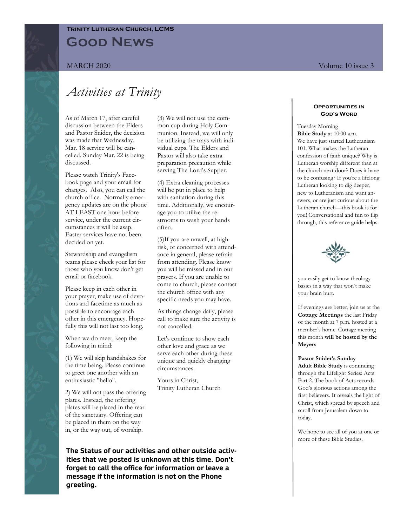# **Good News Trinity Lutheran Church, LCMS**

# *Activities at Trinity*

As of March 17, after careful discussion between the Elders and Pastor Snider, the decision was made that Wednesday, Mar. 18 service will be cancelled. Sunday Mar. 22 is being discussed.

Please watch Trinity's Facebook page and your email for changes. Also, you can call the church office. Normally emergency updates are on the phone AT LEAST one hour before service, under the current circumstances it will be asap. Easter services have not been decided on yet.

Stewardship and evangelism teams please check your list for those who you know don't get email or facebook.

Please keep in each other in your prayer, make use of devotions and facetime as much as possible to encourage each other in this emergency. Hopefully this will not last too long.

When we do meet, keep the following in mind:

(1) We will skip handshakes for the time being. Please continue to greet one another with an enthusiastic "hello".

2) We will not pass the offering plates. Instead, the offering plates will be placed in the rear of the sanctuary. Offering can be placed in them on the way in, or the way out, of worship.

(3) We will not use the common cup during Holy Communion. Instead, we will only be utilizing the trays with individual cups. The Elders and Pastor will also take extra preparation precaution while serving The Lord's Supper.

(4) Extra cleaning processes will be put in place to help with sanitation during this time. Additionally, we encourage you to utilize the restrooms to wash your hands often.

(5)If you are unwell, at highrisk, or concerned with attendance in general, please refrain from attending. Please know you will be missed and in our prayers. If you are unable to come to church, please contact the church office with any specific needs you may have.

As things change daily, please call to make sure the activity is not cancelled.

Let's continue to show each other love and grace as we serve each other during these unique and quickly changing circumstances.

Yours in Christ, Trinity Lutheran Church

**The Status of our activities and other outside activities that we posted is unknown at this time. Don't forget to call the office for information or leave a message if the information is not on the Phone greeting.** 

#### **Opportunities in God's Word**

Tuesday Morning **Bible Study** at 10:00 a.m. We have just started Lutheranism 101. What makes the Lutheran confession of faith unique? Why is Lutheran worship different than at the church next door? Does it have to be confusing? If you're a lifelong Lutheran looking to dig deeper, new to Lutheranism and want answers, or are just curious about the Lutheran church—this book is for you! Conversational and fun to flip through, this reference guide helps



you easily get to know theology basics in a way that won't make your brain hurt.

If evenings are better, join us at the **Cottage Meetings** the last Friday of the month at 7 p.m. hosted at a member's home. Cottage meeting this month **will be hosted by the Meyers**

### **Pastor Snider's Sunday**

**Adult Bible Study** is continuing through the Lifelight Series: Acts Part 2. The book of Acts records God's glorious actions among the first believers. It reveals the light of Christ, which spread by speech and scroll from Jerusalem down to today.

We hope to see all of you at one or more of these Bible Studies.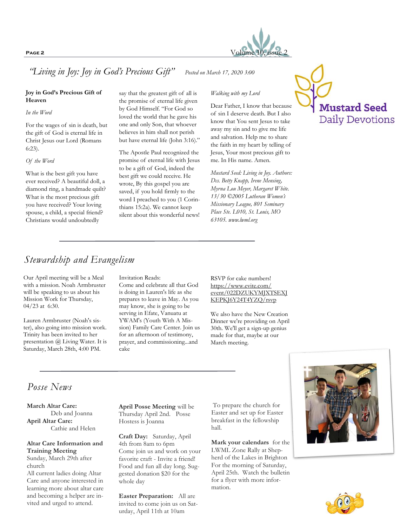

*"Living in Joy: Joy in God's Precious Gift" Posted on March 17, 2020 3:00* 

## **Joy in God's Precious Gift of Heaven**

#### *In the Word*

For the wages of sin is death, but the gift of God is eternal life in Christ Jesus our Lord (Romans 6:23).

### *Of the Word*

What is the best gift you have ever received? A beautiful doll, a diamond ring, a handmade quilt? What is the most precious gift you have received? Your loving spouse, a child, a special friend? Christians would undoubtedly

say that the greatest gift of all is the promise of eternal life given by God Himself. "For God so loved the world that he gave his one and only Son, that whoever believes in him shall not perish but have eternal life (John 3:16)."

The Apostle Paul recognized the promise of eternal life with Jesus to be a gift of God, indeed the best gift we could receive. He wrote, By this gospel you are saved, if you hold firmly to the word I preached to you (1 Corinthians 15:2a). We cannot keep silent about this wonderful news!

## *Walking with my Lord*

Dear Father, I know that because of sin I deserve death. But I also know that You sent Jesus to take away my sin and to give me life and salvation. Help me to share the faith in my heart by telling of Jesus, Your most precious gift to me. In His name. Amen.

*Mustard Seed: Living in Joy. Authors: Dcs. Betty Knapp, Irene Mensing, Myrna Lou Meyer, Margaret White. 13/30 ©2005 Lutheran Women's Missionary League, 801 Seminary Place Ste. L010, St. Louis, MO 63105. www.lwml.org*



# *Stewardship and Evangelism*

Our April meeting will be a Meal with a mission. Noah Armbruster will be speaking to us about his Mission Work for Thursday, 04/23 at 6:30.

Lauren Armbruster (Noah's sister), also going into mission work. Trinity has been invited to her presentation @ Living Water. It is Saturday, March 28th, 4:00 PM.

### Invitation Reads:

Come and celebrate all that God is doing in Lauren's life as she prepares to leave in May. As you may know, she is going to be serving in Efate, Vanuatu at YWAM's (Youth With A Mission) Family Care Center. Join us for an afternoon of testimony, prayer, and commissioning...and cake

RSVP for cake numbers! https://www.evite.com/ event/022DZUKYMJXTSEXJ KEPKJ6Y24T4YZQ/rsvp

We also have the New Creation Dinner we're providing on April 30th. We'll get a sign-up genius made for that, maybe at our March meeting.

# *Posse News*

**March Altar Care:** Deb and Joanna **April Altar Care:** Cathie and Helen

## **Altar Care Information and Training Meeting**

Sunday, March 29th after church All current ladies doing Altar

Care and anyone interested in learning more about altar care and becoming a helper are invited and urged to attend.

**April Posse Meeting** will be Thursday April 2nd. Posse Hostess is Joanna

**Craft Day:** Saturday, April 4th from 8am to 6pm Come join us and work on your favorite craft - Invite a friend! Food and fun all day long. Suggested donation \$20 for the whole day

**Easter Preparation:** All are invited to come join us on Saturday, April 11th at 10am

To prepare the church for Easter and set up for Easter breakfast in the fellowship hall.

**Mark your calendars** for the LWML Zone Rally at Shepherd of the Lakes in Brighton For the morning of Saturday, April 25th. Watch the bulletin for a flyer with more information.



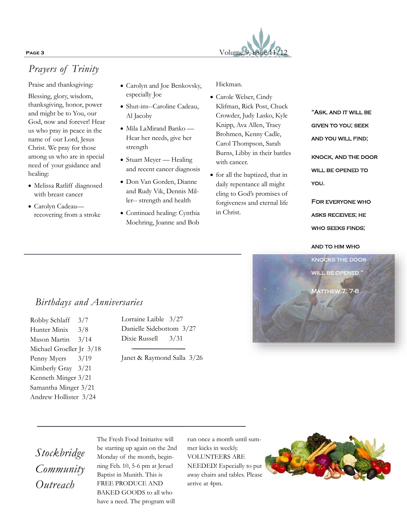# **PAGE 3** Volume 9, issue  $11/12$

# *Prayers of Trinity*

Praise and thanksgiving:

Blessing, glory, wisdom, thanksgiving, honor, power and might be to You, our God, now and forever! Hear us who pray in peace in the name of our Lord, Jesus Christ. We pray for those among us who are in special need of your guidance and healing:

- Melissa Ratliff diagnosed with breast cancer
- Carolyn Cadeau recovering from a stroke
- Carolyn and Joe Benkovsky, especially Joe
- Shut-ins--Caroline Cadeau, Al Jacoby
- Mila LaMirand Banko Hear her needs, give her strength
- Stuart Meyer Healing and recent cancer diagnosis
- Don Van Gorden, Dianne and Rudy Vik, Dennis Miller-- strength and health
- Continued healing: Cynthia Moehring, Joanne and Bob

Hickman.

- Carole Welser, Cindy Klifman, Rick Post, Chuck Crowder, Judy Lasko, Kyle Knipp, Ava Allen, Tracy Brohmen, Kenny Cadle, Carol Thompson, Sarah Burns, Libby in their battles with cancer.
- for all the baptized, that in daily repentance all might cling to God's promises of forgiveness and eternal life in Christ.

"Ask, and it will be given to you; seek AND YOU WILL FIND; knock, and the door WILL BE OPENED TO you.

For everyone who asks receives; he WHO SEEKS FINDS;

and to him who



# *Birthdays and Anniversaries*

Robby Schlaff 3/7 Hunter Minix 3/8 Mason Martin 3/14 Michael Groeller Jr 3/18 Penny Myers 3/19 Kimberly Gray 3/21 Kenneth Minger 3/21 Samantha Minger 3/21 Andrew Hollister 3/24

Lorraine Laible 3/27 Danielle Sidebottom 3/27 Dixie Russell 3/31

Janet & Raymond Salla 3/26

# *Stockbridge Community Outreach*

The Fresh Food Initiative will be starting up again on the 2nd Monday of the month, beginning Feb. 10, 5-6 pm at Jeruel Baptist in Munith. This is FREE PRODUCE AND BAKED GOODS to all who have a need. The program will

run once a month until summer kicks in weekly. VOLUNTEERS ARE NEEDED! Especially to put away chairs and tables. Please arrive at 4pm.